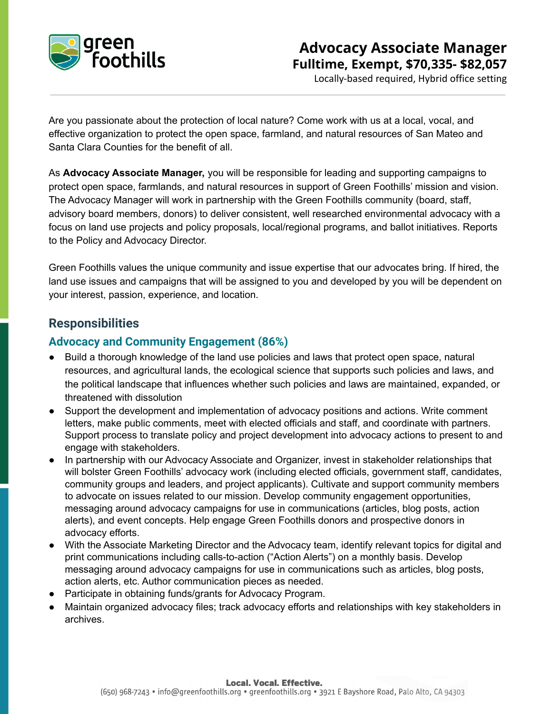

# **Advocacy Associate Manager Fulltime, Exempt, \$70,335- \$82,057**

Locally-based required, Hybrid office setting

Are you passionate about the protection of local nature? Come work with us at a local, vocal, and effective organization to protect the open space, farmland, and natural resources of San Mateo and Santa Clara Counties for the benefit of all.

As **Advocacy Associate Manager,** you will be responsible for leading and supporting campaigns to protect open space, farmlands, and natural resources in support of Green Foothills' mission and vision. The Advocacy Manager will work in partnership with the Green Foothills community (board, staff, advisory board members, donors) to deliver consistent, well researched environmental advocacy with a focus on land use projects and policy proposals, local/regional programs, and ballot initiatives. Reports to the Policy and Advocacy Director.

Green Foothills values the unique community and issue expertise that our advocates bring. If hired, the land use issues and campaigns that will be assigned to you and developed by you will be dependent on your interest, passion, experience, and location.

## **Responsibilities**

### **Advocacy and Community Engagement (86%)**

- Build a thorough knowledge of the land use policies and laws that protect open space, natural resources, and agricultural lands, the ecological science that supports such policies and laws, and the political landscape that influences whether such policies and laws are maintained, expanded, or threatened with dissolution
- Support the development and implementation of advocacy positions and actions. Write comment letters, make public comments, meet with elected officials and staff, and coordinate with partners. Support process to translate policy and project development into advocacy actions to present to and engage with stakeholders.
- In partnership with our Advocacy Associate and Organizer, invest in stakeholder relationships that will bolster Green Foothills' advocacy work (including elected officials, government staff, candidates, community groups and leaders, and project applicants). Cultivate and support community members to advocate on issues related to our mission. Develop community engagement opportunities, messaging around advocacy campaigns for use in communications (articles, blog posts, action alerts), and event concepts. Help engage Green Foothills donors and prospective donors in advocacy efforts.
- With the Associate Marketing Director and the Advocacy team, identify relevant topics for digital and print communications including calls-to-action ("Action Alerts") on a monthly basis. Develop messaging around advocacy campaigns for use in communications such as articles, blog posts, action alerts, etc. Author communication pieces as needed.
- Participate in obtaining funds/grants for Advocacy Program.
- Maintain organized advocacy files; track advocacy efforts and relationships with key stakeholders in archives.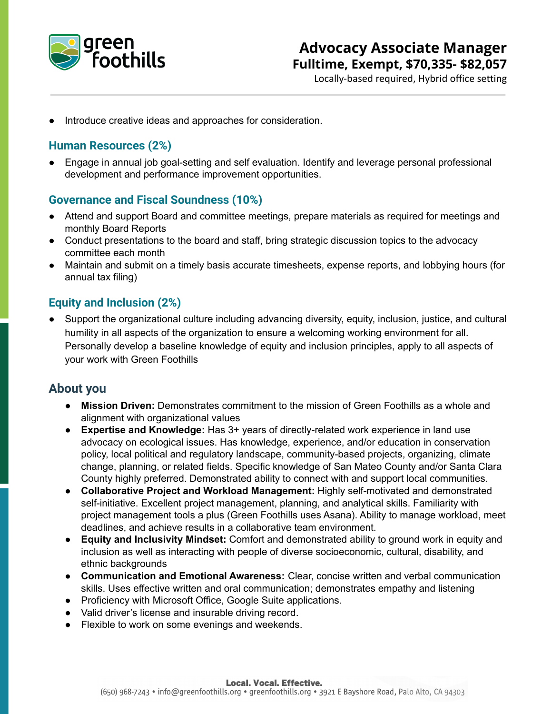

# **Advocacy Associate Manager Fulltime, Exempt, \$70,335- \$82,057**

Locally-based required, Hybrid office setting

Introduce creative ideas and approaches for consideration.

### **Human Resources (2%)**

Engage in annual job goal-setting and self evaluation. Identify and leverage personal professional development and performance improvement opportunities.

#### **Governance and Fiscal Soundness (10%)**

- Attend and support Board and committee meetings, prepare materials as required for meetings and monthly Board Reports
- Conduct presentations to the board and staff, bring strategic discussion topics to the advocacy committee each month
- Maintain and submit on a timely basis accurate timesheets, expense reports, and lobbying hours (for annual tax filing)

### **Equity and Inclusion (2%)**

Support the organizational culture including advancing diversity, equity, inclusion, justice, and cultural humility in all aspects of the organization to ensure a welcoming working environment for all. Personally develop a baseline knowledge of equity and inclusion principles, apply to all aspects of your work with Green Foothills

### **About you**

- **Mission Driven:** Demonstrates commitment to the mission of Green Foothills as a whole and alignment with organizational values
- **Expertise and Knowledge:** Has 3+ years of directly-related work experience in land use advocacy on ecological issues. Has knowledge, experience, and/or education in conservation policy, local political and regulatory landscape, community-based projects, organizing, climate change, planning, or related fields. Specific knowledge of San Mateo County and/or Santa Clara County highly preferred. Demonstrated ability to connect with and support local communities.
- **Collaborative Project and Workload Management:** Highly self-motivated and demonstrated self-initiative. Excellent project management, planning, and analytical skills. Familiarity with project management tools a plus (Green Foothills uses Asana). Ability to manage workload, meet deadlines, and achieve results in a collaborative team environment.
- **Equity and Inclusivity Mindset:** Comfort and demonstrated ability to ground work in equity and inclusion as well as interacting with people of diverse socioeconomic, cultural, disability, and ethnic backgrounds
- **Communication and Emotional Awareness:** Clear, concise written and verbal communication skills. Uses effective written and oral communication; demonstrates empathy and listening
- Proficiency with Microsoft Office, Google Suite applications.
- Valid driver's license and insurable driving record.
- Flexible to work on some evenings and weekends.